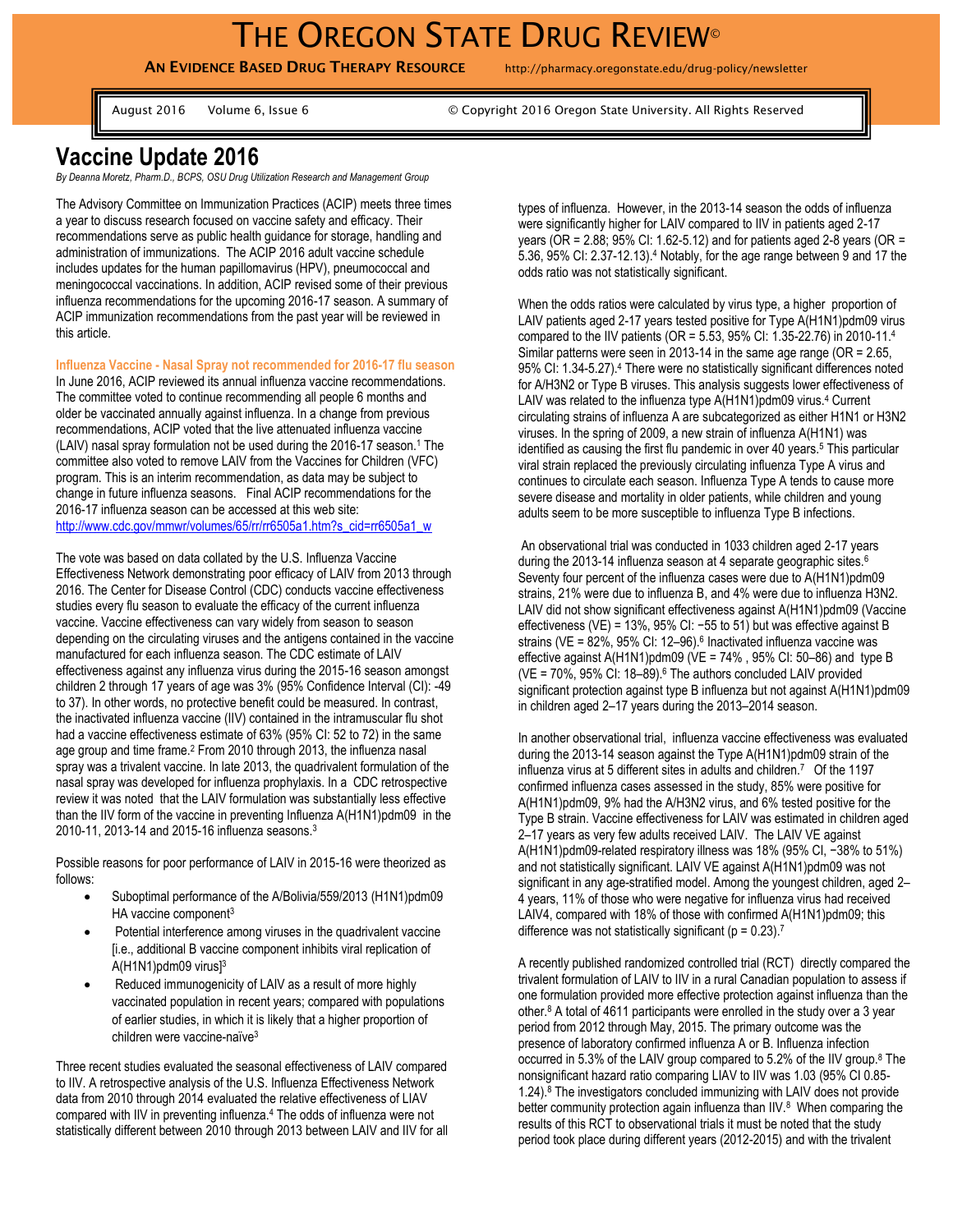**AN EVIDENCE BASED DRUG THERAPY RESOURCE** http://pharmacy.oregonstate.edu/drug-policy/newsletter

August 2016 Volume 6, Issue 6 © Copyright 2016 Oregon State University. All Rights Reserved

## **Vaccine Update 2016**

*By Deanna Moretz, Pharm.D., BCPS, OSU Drug Utilization Research and Management Group*

The Advisory Committee on Immunization Practices (ACIP) meets three times a year to discuss research focused on vaccine safety and efficacy. Their recommendations serve as public health guidance for storage, handling and administration of immunizations. The ACIP 2016 adult vaccine schedule includes updates for the human papillomavirus (HPV), pneumococcal and meningococcal vaccinations. In addition, ACIP revised some of their previous influenza recommendations for the upcoming 2016-17 season. A summary of ACIP immunization recommendations from the past year will be reviewed in this article.

**Influenza Vaccine - Nasal Spray not recommended for 2016-17 flu season**

In June 2016, ACIP reviewed its annual influenza vaccine recommendations. The committee voted to continue recommending all people 6 months and older be vaccinated annually against influenza. In a change from previous recommendations, ACIP voted that the live attenuated influenza vaccine (LAIV) nasal spray formulation not be used during the 2016-17 season.<sup>1</sup> The committee also voted to remove LAIV from the Vaccines for Children (VFC) program. This is an interim recommendation, as data may be subject to change in future influenza seasons. Final ACIP recommendations for the 2016-17 influenza season can be accessed at this web site: [http://www.cdc.gov/mmwr/volumes/65/rr/rr6505a1.htm?s\\_cid=rr6505a1\\_w](http://www.cdc.gov/mmwr/volumes/65/rr/rr6505a1.htm?s_cid=rr6505a1_w)

The vote was based on data collated by the U.S. Influenza Vaccine Effectiveness Network demonstrating poor efficacy of LAIV from 2013 through 2016. The Center for Disease Control (CDC) conducts vaccine effectiveness studies every flu season to evaluate the efficacy of the current influenza vaccine. Vaccine effectiveness can vary widely from season to season depending on the circulating viruses and the antigens contained in the vaccine manufactured for each influenza season. The CDC estimate of LAIV effectiveness against any influenza virus during the 2015-16 season amongst children 2 through 17 years of age was 3% (95% Confidence Interval (CI): -49 to 37). In other words, no protective benefit could be measured. In contrast, the inactivated influenza vaccine (IIV) contained in the intramuscular flu shot had a vaccine effectiveness estimate of 63% (95% CI: 52 to 72) in the same age group and time frame.<sup>2</sup> From 2010 through 2013, the influenza nasal spray was a trivalent vaccine. In late 2013, the quadrivalent formulation of the nasal spray was developed for influenza prophylaxis. In a CDC retrospective review it was noted that the LAIV formulation was substantially less effective than the IIV form of the vaccine in preventing Influenza A(H1N1)pdm09 in the 2010-11, 2013-14 and 2015-16 influenza seasons.<sup>3</sup>

Possible reasons for poor performance of LAIV in 2015-16 were theorized as follows:

- Suboptimal performance of the A/Bolivia/559/2013 (H1N1)pdm09 HA vaccine component<sup>3</sup>
- Potential interference among viruses in the quadrivalent vaccine [i.e., additional B vaccine component inhibits viral replication of A(H1N1)pdm09 virus]<sup>3</sup>
- Reduced immunogenicity of LAIV as a result of more highly vaccinated population in recent years; compared with populations of earlier studies, in which it is likely that a higher proportion of children were vaccine-naïve<sup>3</sup>

Three recent studies evaluated the seasonal effectiveness of LAIV compared to IIV. A retrospective analysis of the U.S. Influenza Effectiveness Network data from 2010 through 2014 evaluated the relative effectiveness of LIAV compared with IIV in preventing influenza.<sup>4</sup> The odds of influenza were not statistically different between 2010 through 2013 between LAIV and IIV for all types of influenza. However, in the 2013-14 season the odds of influenza were significantly higher for LAIV compared to IIV in patients aged 2-17 years (OR = 2.88; 95% CI: 1.62-5.12) and for patients aged 2-8 years (OR = 5.36, 95% CI: 2.37-12.13).<sup>4</sup> Notably, for the age range between 9 and 17 the odds ratio was not statistically significant.

When the odds ratios were calculated by virus type, a higher proportion of LAIV patients aged 2-17 years tested positive for Type A(H1N1)pdm09 virus compared to the IIV patients (OR = 5.53, 95% CI: 1.35-22.76) in 2010-11.<sup>4</sup> Similar patterns were seen in 2013-14 in the same age range (OR = 2.65, 95% CI: 1.34-5.27).<sup>4</sup> There were no statistically significant differences noted for A/H3N2 or Type B viruses. This analysis suggests lower effectiveness of LAIV was related to the influenza type A(H1N1)pdm09 virus.<sup>4</sup> Current circulating strains of influenza A are subcategorized as either H1N1 or H3N2 viruses. In the spring of 2009, a new strain of influenza A(H1N1) was identified as causing the first flu pandemic in over 40 years.<sup>5</sup> This particular viral strain replaced the previously circulating influenza Type A virus and continues to circulate each season. Influenza Type A tends to cause more severe disease and mortality in older patients, while children and young adults seem to be more susceptible to influenza Type B infections.

An observational trial was conducted in 1033 children aged 2-17 years during the 2013-14 influenza season at 4 separate geographic sites.<sup>6</sup> Seventy four percent of the influenza cases were due to A(H1N1)pdm09 strains, 21% were due to influenza B, and 4% were due to influenza H3N2. LAIV did not show significant effectiveness against A(H1N1)pdm09 (Vaccine effectiveness (VE) = 13%, 95% CI: −55 to 51) but was effective against B strains (VE = 82%, 95% CI: 12-96).<sup>6</sup> Inactivated influenza vaccine was effective against A(H1N1)pdm09 ( $VE = 74\%$ , 95% CI: 50–86) and type B ( $VE = 70\%$ ,  $95\%$  CI: 18-89). $6$  The authors concluded LAIV provided significant protection against type B influenza but not against A(H1N1)pdm09 in children aged 2–17 years during the 2013–2014 season.

In another observational trial, influenza vaccine effectiveness was evaluated during the 2013-14 season against the Type A(H1N1)pdm09 strain of the influenza virus at 5 different sites in adults and children.<sup>7</sup> Of the 1197 confirmed influenza cases assessed in the study, 85% were positive for A(H1N1)pdm09, 9% had the A/H3N2 virus, and 6% tested positive for the Type B strain. Vaccine effectiveness for LAIV was estimated in children aged 2–17 years as very few adults received LAIV. The LAIV VE against A(H1N1)pdm09-related respiratory illness was 18% (95% CI, −38% to 51%) and not statistically significant. LAIV VE against A(H1N1)pdm09 was not significant in any age-stratified model. Among the youngest children, aged 2– 4 years, 11% of those who were negative for influenza virus had received LAIV4, compared with 18% of those with confirmed A(H1N1)pdm09; this difference was not statistically significant ( $p = 0.23$ ).<sup>7</sup>

A recently published randomized controlled trial (RCT) directly compared the trivalent formulation of LAIV to IIV in a rural Canadian population to assess if one formulation provided more effective protection against influenza than the other. <sup>8</sup> A total of 4611 participants were enrolled in the study over a 3 year period from 2012 through May, 2015. The primary outcome was the presence of laboratory confirmed influenza A or B. Influenza infection occurred in 5.3% of the LAIV group compared to 5.2% of the IIV group.<sup>8</sup> The nonsignificant hazard ratio comparing LIAV to IIV was 1.03 (95% CI 0.85- 1.24).<sup>8</sup> The investigators concluded immunizing with LAIV does not provide better community protection again influenza than IIV.<sup>8</sup> When comparing the results of this RCT to observational trials it must be noted that the study period took place during different years (2012-2015) and with the trivalent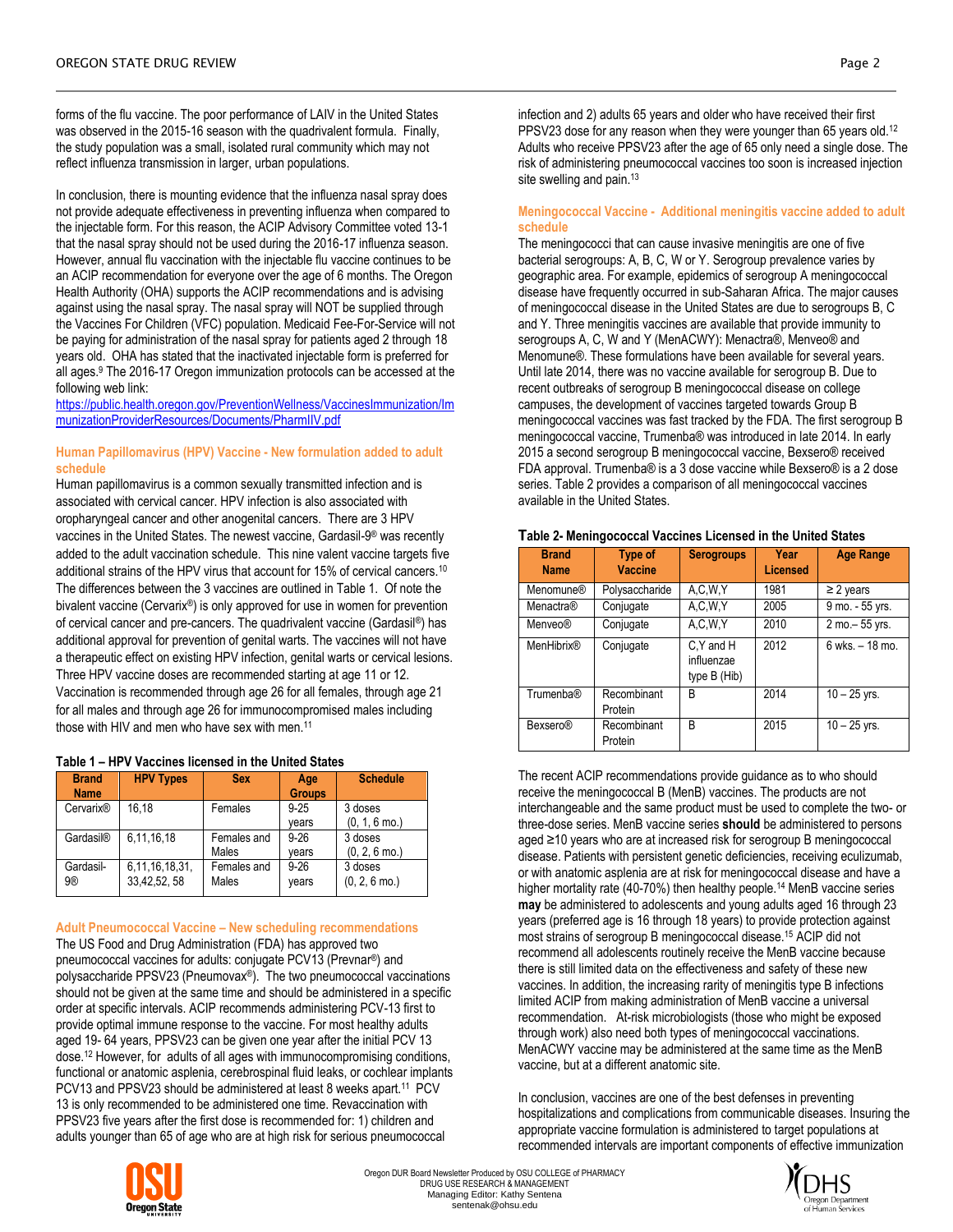forms of the flu vaccine. The poor performance of LAIV in the United States was observed in the 2015-16 season with the quadrivalent formula. Finally, the study population was a small, isolated rural community which may not reflect influenza transmission in larger, urban populations.

In conclusion, there is mounting evidence that the influenza nasal spray does not provide adequate effectiveness in preventing influenza when compared to the injectable form. For this reason, the ACIP Advisory Committee voted 13-1 that the nasal spray should not be used during the 2016-17 influenza season. However, annual flu vaccination with the injectable flu vaccine continues to be an ACIP recommendation for everyone over the age of 6 months. The Oregon Health Authority (OHA) supports the ACIP recommendations and is advising against using the nasal spray. The nasal spray will NOT be supplied through the Vaccines For Children (VFC) population. Medicaid Fee-For-Service will not be paying for administration of the nasal spray for patients aged 2 through 18 years old. OHA has stated that the inactivated injectable form is preferred for all ages.<sup>9</sup> The 2016-17 Oregon immunization protocols can be accessed at the following web link:

[https://public.health.oregon.gov/PreventionWellness/VaccinesImmunization/Im](https://public.health.oregon.gov/PreventionWellness/VaccinesImmunization/ImmunizationProviderResources/Documents/PharmIIV.pdf) [munizationProviderResources/Documents/PharmIIV.pdf](https://public.health.oregon.gov/PreventionWellness/VaccinesImmunization/ImmunizationProviderResources/Documents/PharmIIV.pdf)

## **Human Papillomavirus (HPV) Vaccine - New formulation added to adult schedule**

Human papillomavirus is a common sexually transmitted infection and is associated with cervical cancer. HPV infection is also associated with oropharyngeal cancer and other anogenital cancers. There are 3 HPV vaccines in the United States. The newest vaccine, Gardasil-9<sup>®</sup> was recently added to the adult vaccination schedule. This nine valent vaccine targets five additional strains of the HPV virus that account for 15% of cervical cancers.<sup>10</sup> The differences between the 3 vaccines are outlined in Table 1. Of note the bivalent vaccine (Cervarix®) is only approved for use in women for prevention of cervical cancer and pre-cancers. The quadrivalent vaccine (Gardasil®) has additional approval for prevention of genital warts. The vaccines will not have a therapeutic effect on existing HPV infection, genital warts or cervical lesions. Three HPV vaccine doses are recommended starting at age 11 or 12. Vaccination is recommended through age 26 for all females, through age 21 for all males and through age 26 for immunocompromised males including those with HIV and men who have sex with men.<sup>11</sup>

| Table 1 – HPV Vaccines licensed in the United States |  |
|------------------------------------------------------|--|
|------------------------------------------------------|--|

| <b>Brand</b><br><b>Name</b> | <b>HPV Types</b>                  | <b>Sex</b>           | Age<br><b>Groups</b> | <b>Schedule</b>                    |
|-----------------------------|-----------------------------------|----------------------|----------------------|------------------------------------|
| Cervarix <sup>®</sup>       | 16.18                             | Females              | $9 - 25$<br>years    | 3 doses<br>$(0, 1, 6 \text{ mo.})$ |
| Gardasil®                   | 6.11.16.18                        | Females and<br>Males | $9 - 26$<br>vears    | 3 doses<br>$(0, 2, 6 \text{ mo.})$ |
| Gardasil-<br>9®             | 6, 11, 16, 18, 31,<br>33,42,52,58 | Females and<br>Males | $9 - 26$<br>years    | 3 doses<br>$(0, 2, 6 \text{ mo.})$ |

**Adult Pneumococcal Vaccine – New scheduling recommendations** The US Food and Drug Administration (FDA) has approved two pneumococcal vaccines for adults: conjugate PCV13 (Prevnar®) and polysaccharide PPSV23 (Pneumovax®). The two pneumococcal vaccinations should not be given at the same time and should be administered in a specific order at specific intervals. ACIP recommends administering PCV-13 first to provide optimal immune response to the vaccine. For most healthy adults aged 19- 64 years, PPSV23 can be given one year after the initial PCV 13 dose. <sup>12</sup> However, for adults of all ages with immunocompromising conditions, functional or anatomic asplenia, cerebrospinal fluid leaks, or cochlear implants PCV13 and PPSV23 should be administered at least 8 weeks apart.<sup>11</sup> PCV 13 is only recommended to be administered one time. Revaccination with PPSV23 five years after the first dose is recommended for: 1) children and adults younger than 65 of age who are at high risk for serious pneumococcal



infection and 2) adults 65 years and older who have received their first PPSV23 dose for any reason when they were younger than 65 years old.<sup>12</sup> Adults who receive PPSV23 after the age of 65 only need a single dose. The risk of administering pneumococcal vaccines too soon is increased injection site swelling and pain.<sup>13</sup>

## **Meningococcal Vaccine - Additional meningitis vaccine added to adult schedule**

The meningococci that can cause invasive meningitis are one of five bacterial serogroups: A, B, C, W or Y. Serogroup prevalence varies by geographic area. For example, epidemics of serogroup A meningococcal disease have frequently occurred in sub-Saharan Africa. The major causes of meningococcal disease in the United States are due to serogroups B, C and Y. Three meningitis vaccines are available that provide immunity to serogroups A, C, W and Y (MenACWY): Menactra®, Menveo® and Menomune®. These formulations have been available for several years. Until late 2014, there was no vaccine available for serogroup B. Due to recent outbreaks of serogroup B meningococcal disease on college campuses, the development of vaccines targeted towards Group B meningococcal vaccines was fast tracked by the FDA. The first serogroup B meningococcal vaccine, Trumenba® was introduced in late 2014. In early 2015 a second serogroup B meningococcal vaccine, Bexsero® received FDA approval. Trumenba® is a 3 dose vaccine while Bexsero® is a 2 dose series. Table 2 provides a comparison of all meningococcal vaccines available in the United States.

| <b>Brand</b><br><b>Name</b> | <b>Type of</b><br><b>Vaccine</b> | <b>Serogroups</b>                        | Year<br><b>Licensed</b> | <b>Age Range</b> |
|-----------------------------|----------------------------------|------------------------------------------|-------------------------|------------------|
| Menomune®                   | Polysaccharide                   | A, C, W, Y                               | 1981                    | $\geq$ 2 years   |
| Menactra®                   | Conjugate                        | A,C,W,Y                                  | 2005                    | 9 mo. - 55 yrs.  |
| Menveo®                     | Conjugate                        | A, C, W, Y                               | 2010                    | 2 mo. - 55 yrs.  |
| <b>MenHibrix®</b>           | Conjugate                        | C.Y and H<br>influenzae<br>type $B(Hib)$ | 2012                    | 6 wks. - 18 mo.  |
| Trumenba®                   | Recombinant<br>Protein           | B                                        | 2014                    | $10 - 25$ yrs.   |
| Bexsero®                    | Recombinant<br>Protein           | B                                        | 2015                    | $10 - 25$ yrs.   |

**Table 2- Meningococcal Vaccines Licensed in the United States**

The recent ACIP recommendations provide guidance as to who should receive the meningococcal B (MenB) vaccines. The products are not interchangeable and the same product must be used to complete the two- or three-dose series. MenB vaccine series **should** be administered to persons aged ≥10 years who are at increased risk for serogroup B meningococcal disease. Patients with persistent genetic deficiencies, receiving eculizumab, or with anatomic asplenia are at risk for meningococcal disease and have a higher mortality rate (40-70%) then healthy people.<sup>14</sup> MenB vaccine series **may** be administered to adolescents and young adults aged 16 through 23 years (preferred age is 16 through 18 years) to provide protection against most strains of serogroup B meningococcal disease.<sup>15</sup> ACIP did not recommend all adolescents routinely receive the MenB vaccine because there is still limited data on the effectiveness and safety of these new vaccines. In addition, the increasing rarity of meningitis type B infections limited ACIP from making administration of MenB vaccine a universal recommendation. At-risk microbiologists (those who might be exposed through work) also need both types of meningococcal vaccinations. MenACWY vaccine may be administered at the same time as the MenB vaccine, but at a different anatomic site.

In conclusion, vaccines are one of the best defenses in preventing hospitalizations and complications from communicable diseases. Insuring the appropriate vaccine formulation is administered to target populations at recommended intervals are important components of effective immunization